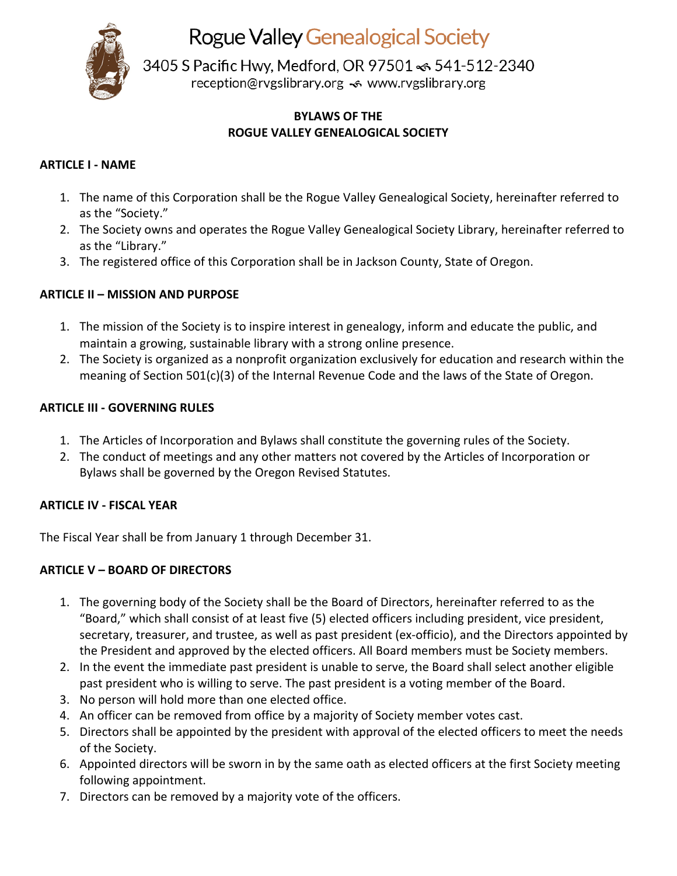

**Rogue Valley Genealogical Society** 

3405 S Pacific Hwy, Medford, OR 97501 <6 541-512-2340 reception@rvgslibrary.org << www.rvgslibrary.org

# **BYLAWS OF THE ROGUE VALLEY GENEALOGICAL SOCIETY**

## **ARTICLE I - NAME**

- 1. The name of this Corporation shall be the Rogue Valley Genealogical Society, hereinafter referred to as the "Society."
- 2. The Society owns and operates the Rogue Valley Genealogical Society Library, hereinafter referred to as the "Library."
- 3. The registered office of this Corporation shall be in Jackson County, State of Oregon.

# **ARTICLE II – MISSION AND PURPOSE**

- 1. The mission of the Society is to inspire interest in genealogy, inform and educate the public, and maintain a growing, sustainable library with a strong online presence.
- 2. The Society is organized as a nonprofit organization exclusively for education and research within the meaning of Section 501(c)(3) of the Internal Revenue Code and the laws of the State of Oregon.

### **ARTICLE III - GOVERNING RULES**

- 1. The Articles of Incorporation and Bylaws shall constitute the governing rules of the Society.
- 2. The conduct of meetings and any other matters not covered by the Articles of Incorporation or Bylaws shall be governed by the Oregon Revised Statutes.

# **ARTICLE IV - FISCAL YEAR**

The Fiscal Year shall be from January 1 through December 31.

### **ARTICLE V – BOARD OF DIRECTORS**

- 1. The governing body of the Society shall be the Board of Directors, hereinafter referred to as the "Board," which shall consist of at least five (5) elected officers including president, vice president, secretary, treasurer, and trustee, as well as past president (ex-officio), and the Directors appointed by the President and approved by the elected officers. All Board members must be Society members.
- 2. In the event the immediate past president is unable to serve, the Board shall select another eligible past president who is willing to serve. The past president is a voting member of the Board.
- 3. No person will hold more than one elected office.
- 4. An officer can be removed from office by a majority of Society member votes cast.
- 5. Directors shall be appointed by the president with approval of the elected officers to meet the needs of the Society.
- 6. Appointed directors will be sworn in by the same oath as elected officers at the first Society meeting following appointment.
- 7. Directors can be removed by a majority vote of the officers.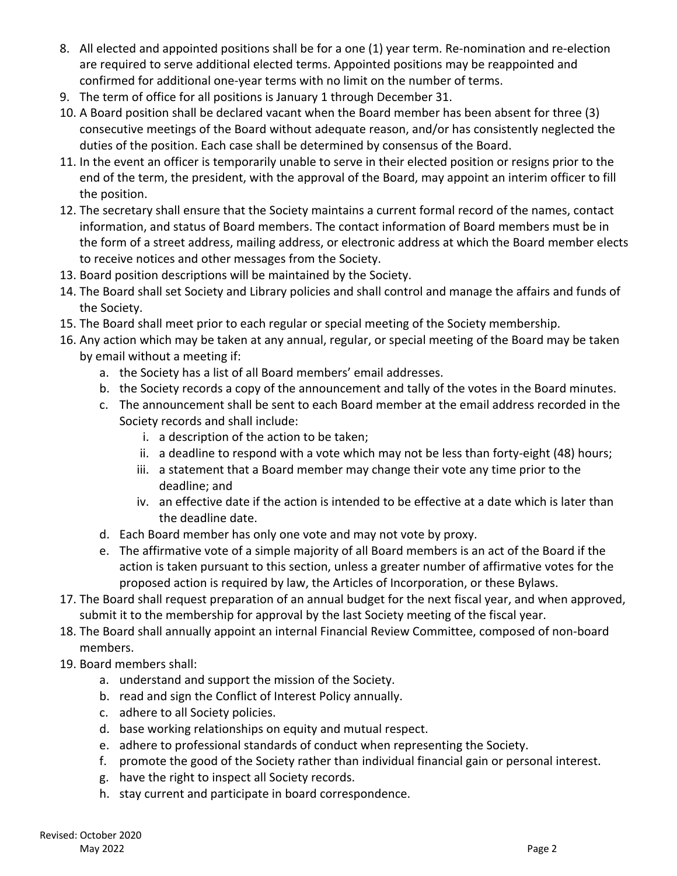- 8. All elected and appointed positions shall be for a one (1) year term. Re-nomination and re-election are required to serve additional elected terms. Appointed positions may be reappointed and confirmed for additional one-year terms with no limit on the number of terms.
- 9. The term of office for all positions is January 1 through December 31.
- 10. A Board position shall be declared vacant when the Board member has been absent for three (3) consecutive meetings of the Board without adequate reason, and/or has consistently neglected the duties of the position. Each case shall be determined by consensus of the Board.
- 11. In the event an officer is temporarily unable to serve in their elected position or resigns prior to the end of the term, the president, with the approval of the Board, may appoint an interim officer to fill the position.
- 12. The secretary shall ensure that the Society maintains a current formal record of the names, contact information, and status of Board members. The contact information of Board members must be in the form of a street address, mailing address, or electronic address at which the Board member elects to receive notices and other messages from the Society.
- 13. Board position descriptions will be maintained by the Society.
- 14. The Board shall set Society and Library policies and shall control and manage the affairs and funds of the Society.
- 15. The Board shall meet prior to each regular or special meeting of the Society membership.
- 16. Any action which may be taken at any annual, regular, or special meeting of the Board may be taken by email without a meeting if:
	- a. the Society has a list of all Board members' email addresses.
	- b. the Society records a copy of the announcement and tally of the votes in the Board minutes.
	- c. The announcement shall be sent to each Board member at the email address recorded in the Society records and shall include:
		- i. a description of the action to be taken;
		- ii. a deadline to respond with a vote which may not be less than forty-eight (48) hours;
		- iii. a statement that a Board member may change their vote any time prior to the deadline; and
		- iv. an effective date if the action is intended to be effective at a date which is later than the deadline date.
	- d. Each Board member has only one vote and may not vote by proxy.
	- e. The affirmative vote of a simple majority of all Board members is an act of the Board if the action is taken pursuant to this section, unless a greater number of affirmative votes for the proposed action is required by law, the Articles of Incorporation, or these Bylaws.
- 17. The Board shall request preparation of an annual budget for the next fiscal year, and when approved, submit it to the membership for approval by the last Society meeting of the fiscal year.
- 18. The Board shall annually appoint an internal Financial Review Committee, composed of non-board members.
- 19. Board members shall:
	- a. understand and support the mission of the Society.
	- b. read and sign the Conflict of Interest Policy annually.
	- c. adhere to all Society policies.
	- d. base working relationships on equity and mutual respect.
	- e. adhere to professional standards of conduct when representing the Society.
	- f. promote the good of the Society rather than individual financial gain or personal interest.
	- g. have the right to inspect all Society records.
	- h. stay current and participate in board correspondence.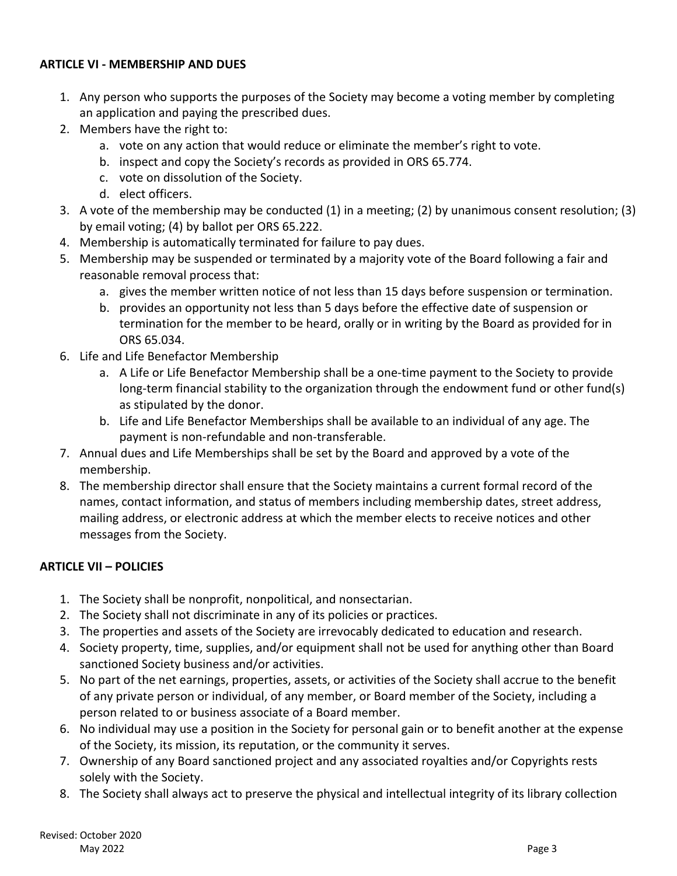#### **ARTICLE VI - MEMBERSHIP AND DUES**

- 1. Any person who supports the purposes of the Society may become a voting member by completing an application and paying the prescribed dues.
- 2. Members have the right to:
	- a. vote on any action that would reduce or eliminate the member's right to vote.
	- b. inspect and copy the Society's records as provided in ORS 65.774.
	- c. vote on dissolution of the Society.
	- d. elect officers.
- 3. A vote of the membership may be conducted (1) in a meeting; (2) by unanimous consent resolution; (3) by email voting; (4) by ballot per ORS 65.222.
- 4. Membership is automatically terminated for failure to pay dues.
- 5. Membership may be suspended or terminated by a majority vote of the Board following a fair and reasonable removal process that:
	- a. gives the member written notice of not less than 15 days before suspension or termination.
	- b. provides an opportunity not less than 5 days before the effective date of suspension or termination for the member to be heard, orally or in writing by the Board as provided for in ORS 65.034.
- 6. Life and Life Benefactor Membership
	- a. A Life or Life Benefactor Membership shall be a one-time payment to the Society to provide long-term financial stability to the organization through the endowment fund or other fund(s) as stipulated by the donor.
	- b. Life and Life Benefactor Memberships shall be available to an individual of any age. The payment is non-refundable and non-transferable.
- 7. Annual dues and Life Memberships shall be set by the Board and approved by a vote of the membership.
- 8. The membership director shall ensure that the Society maintains a current formal record of the names, contact information, and status of members including membership dates, street address, mailing address, or electronic address at which the member elects to receive notices and other messages from the Society.

### **ARTICLE VII – POLICIES**

- 1. The Society shall be nonprofit, nonpolitical, and nonsectarian.
- 2. The Society shall not discriminate in any of its policies or practices.
- 3. The properties and assets of the Society are irrevocably dedicated to education and research.
- 4. Society property, time, supplies, and/or equipment shall not be used for anything other than Board sanctioned Society business and/or activities.
- 5. No part of the net earnings, properties, assets, or activities of the Society shall accrue to the benefit of any private person or individual, of any member, or Board member of the Society, including a person related to or business associate of a Board member.
- 6. No individual may use a position in the Society for personal gain or to benefit another at the expense of the Society, its mission, its reputation, or the community it serves.
- 7. Ownership of any Board sanctioned project and any associated royalties and/or Copyrights rests solely with the Society.
- 8. The Society shall always act to preserve the physical and intellectual integrity of its library collection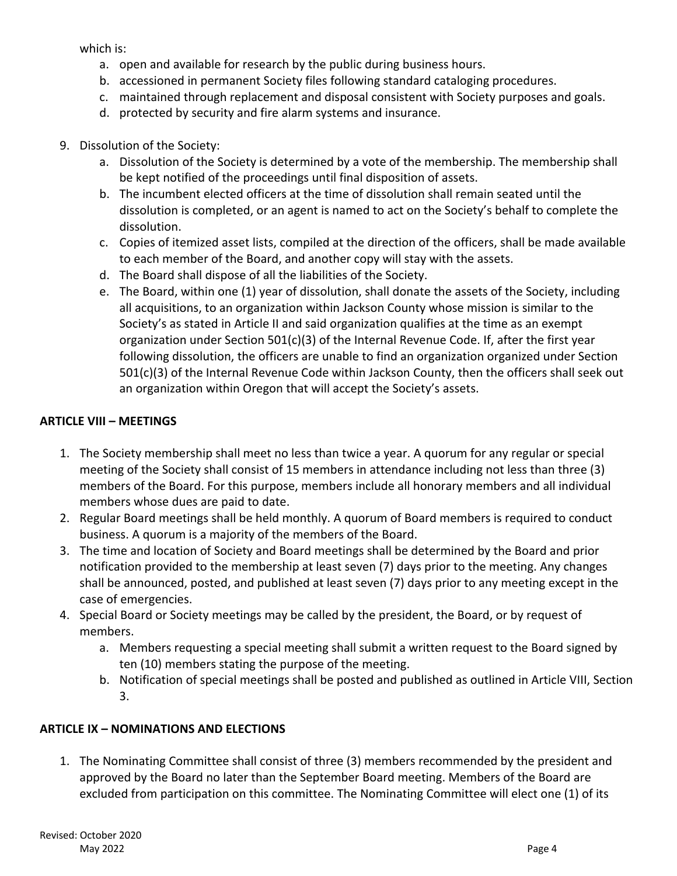which is:

- a. open and available for research by the public during business hours.
- b. accessioned in permanent Society files following standard cataloging procedures.
- c. maintained through replacement and disposal consistent with Society purposes and goals.
- d. protected by security and fire alarm systems and insurance.

### 9. Dissolution of the Society:

- a. Dissolution of the Society is determined by a vote of the membership. The membership shall be kept notified of the proceedings until final disposition of assets.
- b. The incumbent elected officers at the time of dissolution shall remain seated until the dissolution is completed, or an agent is named to act on the Society's behalf to complete the dissolution.
- c. Copies of itemized asset lists, compiled at the direction of the officers, shall be made available to each member of the Board, and another copy will stay with the assets.
- d. The Board shall dispose of all the liabilities of the Society.
- e. The Board, within one (1) year of dissolution, shall donate the assets of the Society, including all acquisitions, to an organization within Jackson County whose mission is similar to the Society's as stated in Article II and said organization qualifies at the time as an exempt organization under Section 501(c)(3) of the Internal Revenue Code. If, after the first year following dissolution, the officers are unable to find an organization organized under Section 501(c)(3) of the Internal Revenue Code within Jackson County, then the officers shall seek out an organization within Oregon that will accept the Society's assets.

## **ARTICLE VIII – MEETINGS**

- 1. The Society membership shall meet no less than twice a year. A quorum for any regular or special meeting of the Society shall consist of 15 members in attendance including not less than three (3) members of the Board. For this purpose, members include all honorary members and all individual members whose dues are paid to date.
- 2. Regular Board meetings shall be held monthly. A quorum of Board members is required to conduct business. A quorum is a majority of the members of the Board.
- 3. The time and location of Society and Board meetings shall be determined by the Board and prior notification provided to the membership at least seven (7) days prior to the meeting. Any changes shall be announced, posted, and published at least seven (7) days prior to any meeting except in the case of emergencies.
- 4. Special Board or Society meetings may be called by the president, the Board, or by request of members.
	- a. Members requesting a special meeting shall submit a written request to the Board signed by ten (10) members stating the purpose of the meeting.
	- b. Notification of special meetings shall be posted and published as outlined in Article VIII, Section 3.

# **ARTICLE IX – NOMINATIONS AND ELECTIONS**

1. The Nominating Committee shall consist of three (3) members recommended by the president and approved by the Board no later than the September Board meeting. Members of the Board are excluded from participation on this committee. The Nominating Committee will elect one (1) of its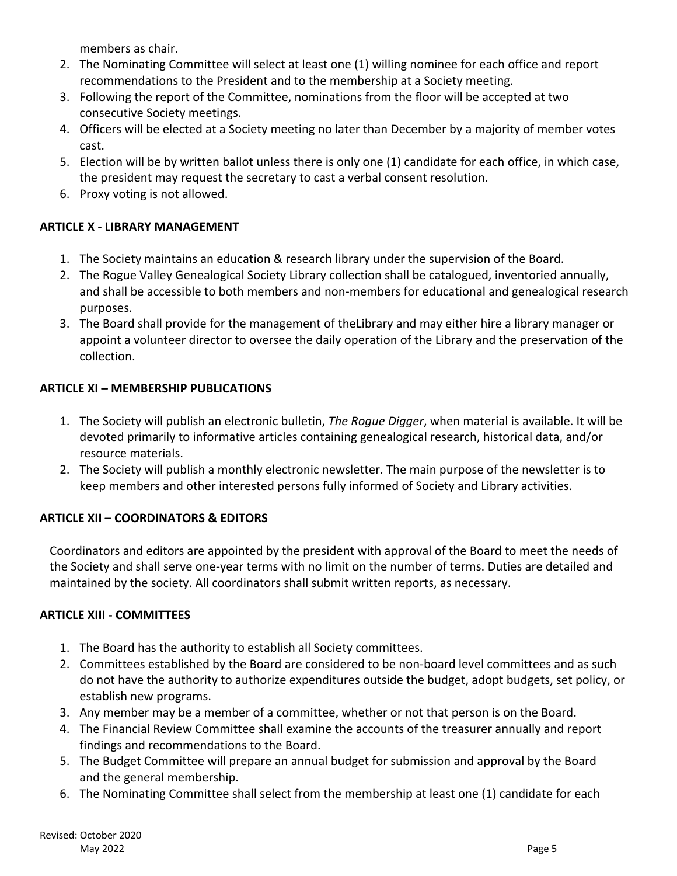members as chair.

- 2. The Nominating Committee will select at least one (1) willing nominee for each office and report recommendations to the President and to the membership at a Society meeting.
- 3. Following the report of the Committee, nominations from the floor will be accepted at two consecutive Society meetings.
- 4. Officers will be elected at a Society meeting no later than December by a majority of member votes cast.
- 5. Election will be by written ballot unless there is only one (1) candidate for each office, in which case, the president may request the secretary to cast a verbal consent resolution.
- 6. Proxy voting is not allowed.

# **ARTICLE X - LIBRARY MANAGEMENT**

- 1. The Society maintains an education & research library under the supervision of the Board.
- 2. The Rogue Valley Genealogical Society Library collection shall be catalogued, inventoried annually, and shall be accessible to both members and non-members for educational and genealogical research purposes.
- 3. The Board shall provide for the management of theLibrary and may either hire a library manager or appoint a volunteer director to oversee the daily operation of the Library and the preservation of the collection.

# **ARTICLE XI – MEMBERSHIP PUBLICATIONS**

- 1. The Society will publish an electronic bulletin, *The Rogue Digger*, when material is available. It will be devoted primarily to informative articles containing genealogical research, historical data, and/or resource materials.
- 2. The Society will publish a monthly electronic newsletter. The main purpose of the newsletter is to keep members and other interested persons fully informed of Society and Library activities.

# **ARTICLE XII – COORDINATORS & EDITORS**

Coordinators and editors are appointed by the president with approval of the Board to meet the needs of the Society and shall serve one-year terms with no limit on the number of terms. Duties are detailed and maintained by the society. All coordinators shall submit written reports, as necessary.

### **ARTICLE XIII - COMMITTEES**

- 1. The Board has the authority to establish all Society committees.
- 2. Committees established by the Board are considered to be non-board level committees and as such do not have the authority to authorize expenditures outside the budget, adopt budgets, set policy, or establish new programs.
- 3. Any member may be a member of a committee, whether or not that person is on the Board.
- 4. The Financial Review Committee shall examine the accounts of the treasurer annually and report findings and recommendations to the Board.
- 5. The Budget Committee will prepare an annual budget for submission and approval by the Board and the general membership.
- 6. The Nominating Committee shall select from the membership at least one (1) candidate for each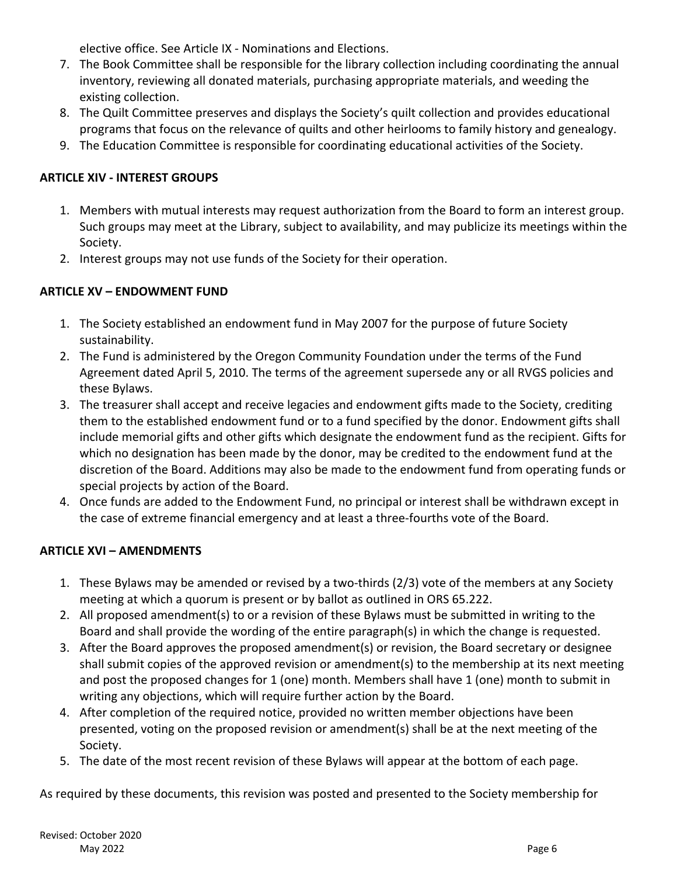elective office. See Article IX - Nominations and Elections.

- 7. The Book Committee shall be responsible for the library collection including coordinating the annual inventory, reviewing all donated materials, purchasing appropriate materials, and weeding the existing collection.
- 8. The Quilt Committee preserves and displays the Society's quilt collection and provides educational programs that focus on the relevance of quilts and other heirlooms to family history and genealogy.
- 9. The Education Committee is responsible for coordinating educational activities of the Society.

# **ARTICLE XIV - INTEREST GROUPS**

- 1. Members with mutual interests may request authorization from the Board to form an interest group. Such groups may meet at the Library, subject to availability, and may publicize its meetings within the Society.
- 2. Interest groups may not use funds of the Society for their operation.

# **ARTICLE XV – ENDOWMENT FUND**

- 1. The Society established an endowment fund in May 2007 for the purpose of future Society sustainability.
- 2. The Fund is administered by the Oregon Community Foundation under the terms of the Fund Agreement dated April 5, 2010. The terms of the agreement supersede any or all RVGS policies and these Bylaws.
- 3. The treasurer shall accept and receive legacies and endowment gifts made to the Society, crediting them to the established endowment fund or to a fund specified by the donor. Endowment gifts shall include memorial gifts and other gifts which designate the endowment fund as the recipient. Gifts for which no designation has been made by the donor, may be credited to the endowment fund at the discretion of the Board. Additions may also be made to the endowment fund from operating funds or special projects by action of the Board.
- 4. Once funds are added to the Endowment Fund, no principal or interest shall be withdrawn except in the case of extreme financial emergency and at least a three-fourths vote of the Board.

# **ARTICLE XVI – AMENDMENTS**

- 1. These Bylaws may be amended or revised by a two-thirds (2/3) vote of the members at any Society meeting at which a quorum is present or by ballot as outlined in ORS 65.222.
- 2. All proposed amendment(s) to or a revision of these Bylaws must be submitted in writing to the Board and shall provide the wording of the entire paragraph(s) in which the change is requested.
- 3. After the Board approves the proposed amendment(s) or revision, the Board secretary or designee shall submit copies of the approved revision or amendment(s) to the membership at its next meeting and post the proposed changes for 1 (one) month. Members shall have 1 (one) month to submit in writing any objections, which will require further action by the Board.
- 4. After completion of the required notice, provided no written member objections have been presented, voting on the proposed revision or amendment(s) shall be at the next meeting of the Society.
- 5. The date of the most recent revision of these Bylaws will appear at the bottom of each page.

As required by these documents, this revision was posted and presented to the Society membership for